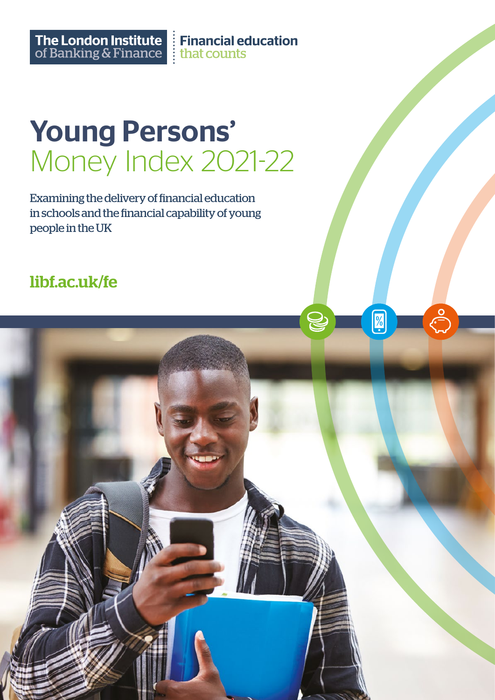The London Institute<br>
of Banking & Finance<br>  $\frac{1}{2}$  that counts

Ø

# Young Persons' Money Index 2021-22

Examining the delivery of financial education in schools and the financial capability of young people in the UK

# [libf.ac.uk/fe](https://www.libf.ac.uk/study/financial-education/qualifications)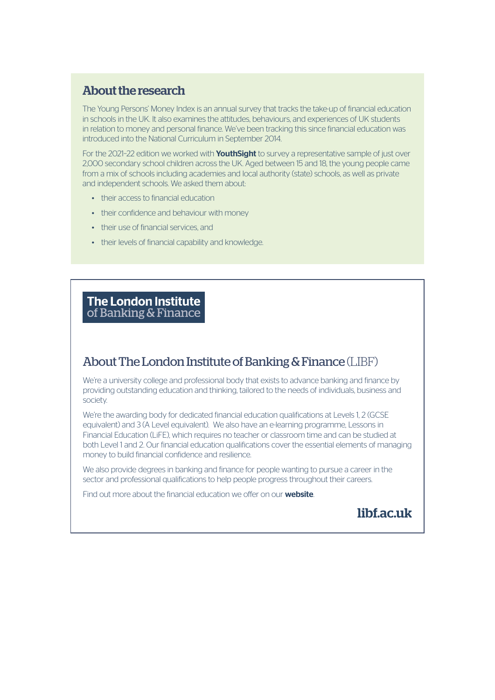# About the research

The Young Persons' Money Index is an annual survey that tracks the take-up of financial education in schools in the UK. It also examines the attitudes, behaviours, and experiences of UK students in relation to money and personal finance. We've been tracking this since financial education was introduced into the National Curriculum in September 2014.

For the 2021-22 edition we worked with **[YouthSight](https://www.youthsight.com)** to survey a representative sample of just over 2,000 secondary school children across the UK. Aged between 15 and 18, the young people came from a mix of schools including academies and local authority (state) schools, as well as private and independent schools. We asked them about:

- their access to financial education
- their confidence and behaviour with money
- their use of financial services, and
- their levels of financial capability and knowledge.

# **The London Institute** of Banking & Finance

# About The London Institute of Banking & Finance (LIBF)

We're a university college and professional body that exists to advance banking and finance by providing outstanding education and thinking, tailored to the needs of individuals, business and society.

We're the awarding body for dedicated financial education qualifications at Levels 1, 2 (GCSE equivalent) and 3 (A Level equivalent). We also have an e-learning programme, Lessons in Financial Education (LiFE), which requires no teacher or classroom time and can be studied at both Level 1 and 2. Our financial education qualifications cover the essential elements of managing money to build financial confidence and resilience.

We also provide degrees in banking and finance for people wanting to pursue a career in the sector and professional qualifications to help people progress throughout their careers.

Find out more about the financial education we offer on our **[website](https://www.libf.ac.uk/study/financial-education)**.

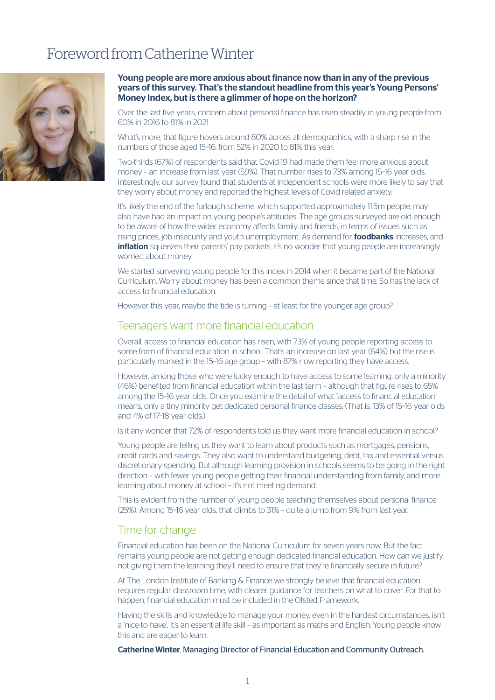# Foreword from Catherine Winter



#### Young people are more anxious about finance now than in any of the previous years of this survey. That's the standout headline from this year's Young Persons' Money Index, but is there a glimmer of hope on the horizon?

Over the last five years, concern about personal finance has risen steadily in young people from 60% in 2016 to 81% in 2021.

What's more, that figure hovers around 80% across all demographics, with a sharp rise in the numbers of those aged 15–16, from 52% in 2020 to 81% this year.

Two-thirds (67%) of respondents said that Covid-19 had made them feel more anxious about money – an increase from last year (59%). That number rises to 73% among 15–16 year olds. Interestingly, our survey found that students at independent schools were more likely to say that they worry about money and reported the highest levels of Covid-related anxiety.

It's likely the end of the furlough scheme, which supported approximately 11.5m people, may also have had an impact on young people's attitudes. The age groups surveyed are old enough to be aware of how the wider economy affects family and friends, in terms of issues such as rising prices, job insecurity and youth unemployment. As demand for **[foodbanks](https://www.trusselltrust.org/news-and-blog/latest-stats/end-year-stats/)** increases, and **[inflation](https://www.resolutionfoundation.org/press-releases/fastest-inflation-rise-in-over-30-years-sees-pay-packets-shrink-for-third-time-in-a-decade/)** squeezes their parents' pay packets, it's no wonder that young people are increasingly worried about money.

We started surveying young people for this index in 2014 when it became part of the National Curriculum. Worry about money has been a common theme since that time. So has the lack of access to financial education.

However this year, maybe the tide is turning - at least for the younger age group?

# Teenagers want more financial education

Overall, access to financial education has risen, with 73% of young people reporting access to some form of financial education in school. That's an increase on last year (64%) but the rise is particularly marked in the 15–16 age group – with 87% now reporting they have access.

However, among those who were lucky enough to have access to some learning, only a minority (46%) benefited from financial education within the last term – although that figure rises to 65% among the 15–16 year olds. Once you examine the detail of what "access to financial education" means, only a tiny minority get dedicated personal finance classes. (That is, 13% of 15–16 year olds and 4% of 17–18 year olds.)

Is it any wonder that 72% of respondents told us they want more financial education in school?

Young people are telling us they want to learn about products such as mortgages, pensions, credit cards and savings. They also want to understand budgeting, debt, tax and essential versus discretionary spending. But although learning provision in schools seems to be going in the right direction – with fewer young people getting their financial understanding from family, and more learning about money at school – it's not meeting demand.

This is evident from the number of young people teaching themselves about personal finance (25%). Among 15–16 year olds, that climbs to 31% – quite a jump from 9% from last year.

# Time for change

Financial education has been on the National Curriculum for seven years now. But the fact remains young people are not getting enough dedicated financial education. How can we justify not giving them the learning they'll need to ensure that they're financially secure in future?

At The London Institute of Banking & Finance we strongly believe that financial education requires regular classroom time, with clearer guidance for teachers on what to cover. For that to happen, financial education must be included in the Ofsted Framework.

Having the skills and knowledge to manage your money, even in the hardest circumstances, isn't a 'nice-to-have'. It's an essential life skill – as important as maths and English. Young people know this and are eager to learn.

Catherine Winter, Managing Director of Financial Education and Community Outreach.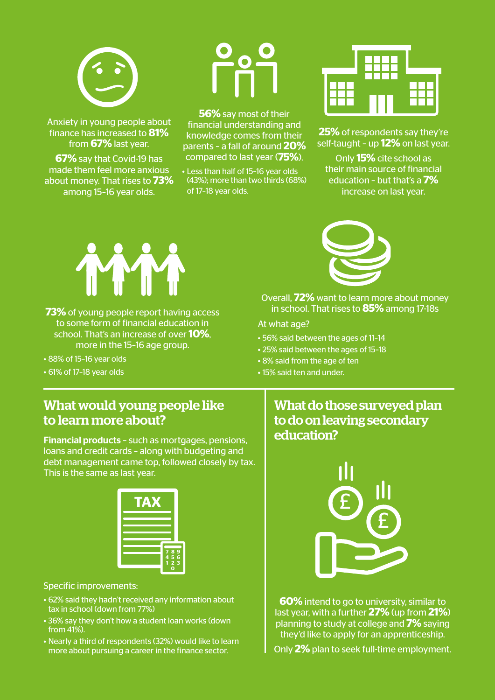

Anxiety in young people about finance has increased to **81%** from **67%** last year.

**67%** say that Covid-19 has made them feel more anxious about money. That rises to **73%** among 15–16 year olds.

**56%** say most of their financial understanding and knowledge comes from their parents – a fall of around **20%** compared to last year (**75%**).

• Less than half of 15–16 year olds (43%); more than two thirds (68%) of 17–18 year olds.



**25%** of respondents say they're self-taught – up **12%** on last year.

Only **15%** cite school as their main source of financial education – but that's a **7%** increase on last year.



- **73%** of young people report having access to some form of financial education in school. That's an increase of over **10%**, more in the 15–16 age group.
- 88% of 15–16 year olds
- 61% of 17–18 year olds



Overall, **72%** want to learn more about money in school. That rises to **85%** among 17-18s

# At what age?

- 56% said between the ages of 11–14
- 25% said between the ages of 15–18
- 8% said from the age of ten
- 15% said ten and under.

# What would young people like to learn more about?

Financial products – such as mortgages, pensions, loans and credit cards – along with budgeting and debt management came top, followed closely by tax. This is the same as last year.



#### Specific improvements:

- 62% said they hadn't received any information about tax in school (down from 77%)
- 36% say they don't how a student loan works (down from 41%).
- Nearly a third of respondents (32%) would like to learn more about pursuing a career in the finance sector.

# What do those surveyed plan to do on leaving secondary education?



**60%** intend to go to university, similar to last year, with a further **27%** (up from **21%**) planning to study at college and **7%** saying they'd like to apply for an apprenticeship.

Only **2%** plan to seek full-time employment.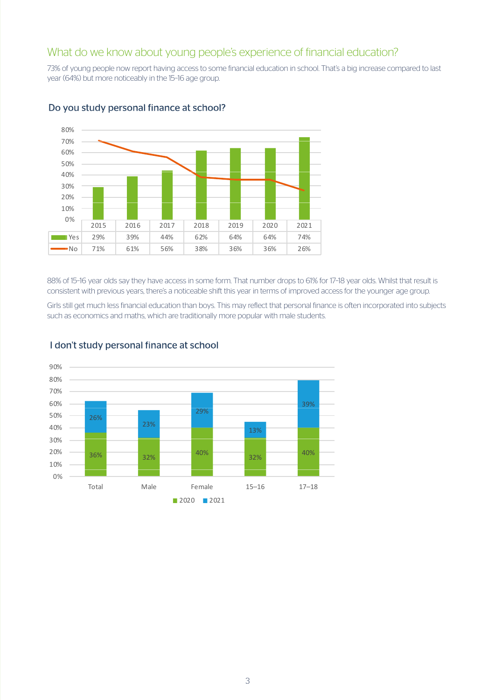# What do we know about young people's experience of financial education?

73% of young people now report having access to some financial education in school. That's a big increase compared to last year (64%) but more noticeably in the 15–16 age group.



# Do you study personal finance at school?

88% of 15–16 year olds say they have access in some form. That number drops to 61% for 17–18 year olds. Whilst that result is consistent with previous years, there's a noticeable shift this year in terms of improved access for the younger age group.

Girls still get much less financial education than boys. This may reflect that personal finance is often incorporated into subjects such as economics and maths, which are traditionally more popular with male students.



# I don't study personal finance at school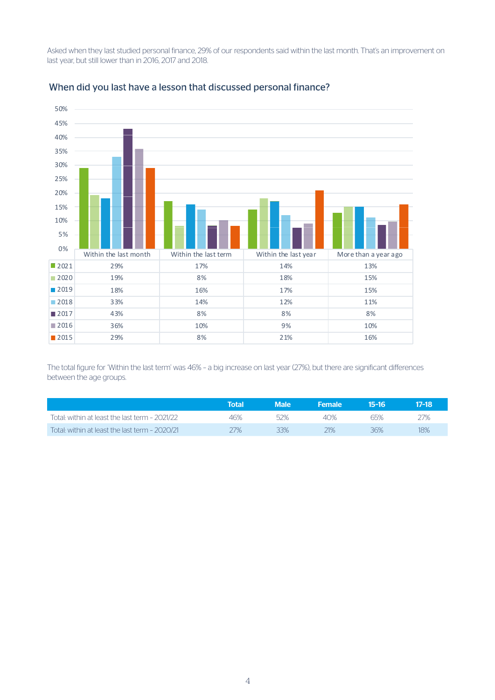Asked when they last studied personal finance, 29% of our respondents said within the last month. That's an improvement on last year, but still lower than in 2016, 2017 and 2018.



#### When did you last have a lesson that discussed personal finance?

The total figure for 'Within the last term' was 46% – a big increase on last year (27%), but there are significant differences between the age groups.

|                                                | Total  | Male | <b>Female</b> | 15-16 | 17-18 |
|------------------------------------------------|--------|------|---------------|-------|-------|
| Total: within at least the last term - 2021/22 | 46%    | 52%  | 40%           | 65%   |       |
| Total: within at least the last term - 2020/21 | $77\%$ | 33%  | 21%           | 36%   | 18%   |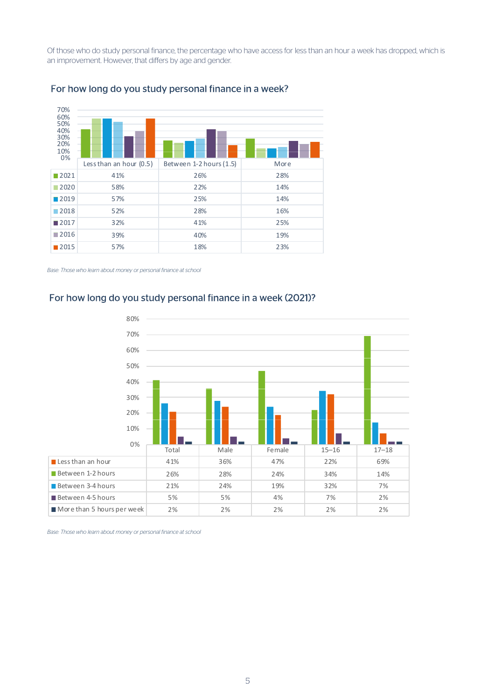Of those who do study personal finance, the percentage who have access for less than an hour a week has dropped, which is an improvement. However, that differs by age and gender.



# For how long do you study personal finance in a week?

*Base: Those who learn about money or personal finance at school*

#### For how long do you study personal finance in a week (2021)?



*Base: Those who learn about money or personal finance at school*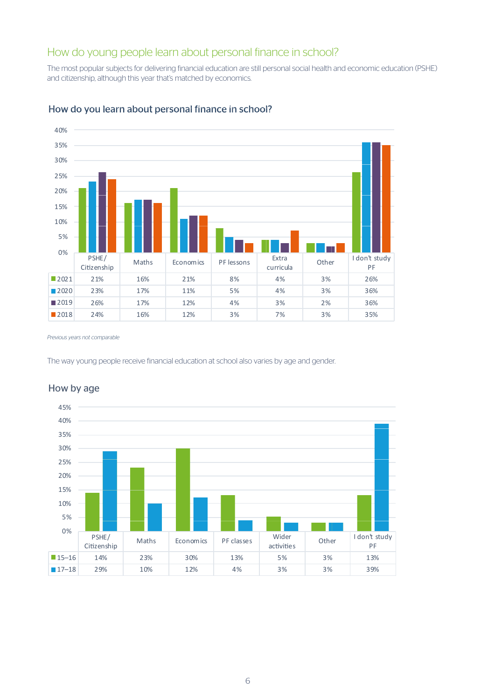# How do young people learn about personal finance in school?

The most popular subjects for delivering financial education are still personal social health and economic education (PSHE) and citizenship, although this year that's matched by economics.



# How do you learn about personal finance in school?

*Previous years not comparable*

The way young people receive financial education at school also varies by age and gender.



# How by age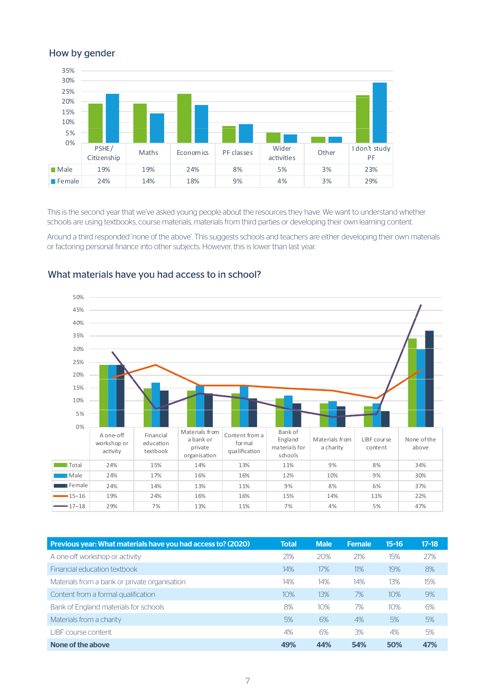# How by gender



This is the second year that we've asked young people about the resources they have. We want to understand whether schools are using textbooks, course materials, materials from third parties or developing their own learning content.

Around a third responded 'none of the above'. This suggests schools and teachers are either developing their own materials or factoring personal finance into other subjects. However, this is lower than last year.



#### What materials have you had access to in school?

| Previous year: What materials have you had access to? (2020) | <b>Total</b> | <b>Male</b> | <b>Female</b> | $15-16$ | $17-18$ |
|--------------------------------------------------------------|--------------|-------------|---------------|---------|---------|
| A one-off workshop or activity                               | 21%          | 20%         | 21%           | 15%     | 27%     |
| Financial education textbook                                 | 14%          | 17%         | 11%           | 19%     | 8%      |
| Materials from a bank or private organisation                | 14%          | 14%         | 14%           | 13%     | 15%     |
| Content from a formal qualification                          | 10%          | 13%         | 7%            | 10%     | 9%      |
| Bank of England materials for schools                        | 8%           | 10%         | 7%            | 10%     | 6%      |
| Materials from a charity                                     | 5%           | 6%          | 4%            | 5%      | 5%      |
| I IBE course content                                         | 4%           | 6%          | 3%            | 4%      | 5%      |
| None of the above                                            | 49%          | 44%         | 54%           | 50%     | 47%     |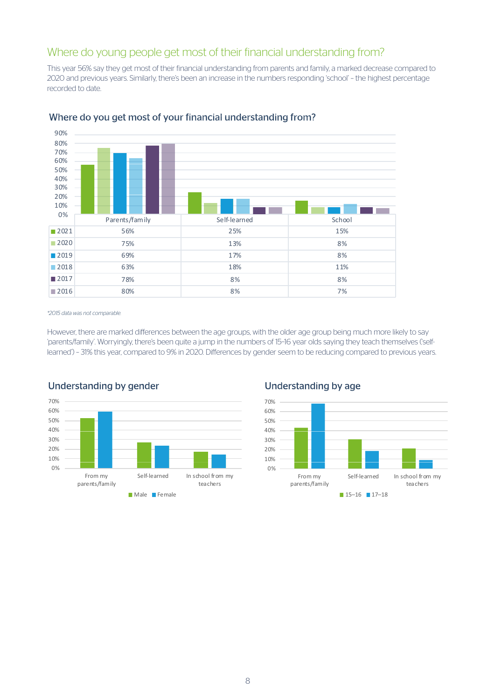# Where do young people get most of their financial understanding from?

This year 56% say they get most of their financial understanding from parents and family, a marked decrease compared to 2020 and previous years. Similarly, there's been an increase in the numbers responding 'school' – the highest percentage recorded to date.



# Where do you get most of your financial understanding from?

*\*2015 data was not comparable.* 

However, there are marked differences between the age groups, with the older age group being much more likely to say 'parents/family'. Worryingly, there's been quite a jump in the numbers of 15–16 year olds saying they teach themselves ('selflearned') – 31% this year, compared to 9% in 2020. Differences by gender seem to be reducing compared to previous years.



# Understanding by gender

# Understanding by age

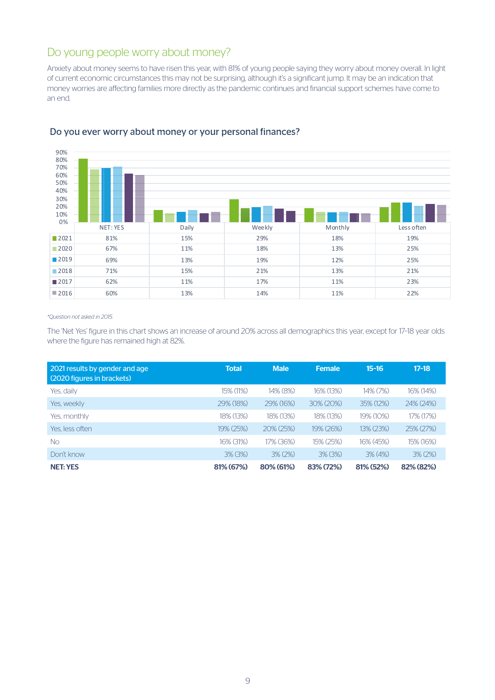# Do young people worry about money?

Anxiety about money seems to have risen this year, with 81% of young people saying they worry about money overall. In light of current economic circumstances this may not be surprising, although it's a significant jump. It may be an indication that money worries are affecting families more directly as the pandemic continues and financial support schemes have come to an end.



# Do you ever worry about money or your personal finances?

#### *\*Question not asked in 2015.*

The 'Net Yes' figure in this chart shows an increase of around 20% across all demographics this year, except for 17–18 year olds where the figure has remained high at 82%.

| 2021 results by gender and age<br>(2020 figures in brackets) | <b>Total</b> | <b>Male</b>     | <b>Female</b> | $15-16$      | $17 - 18$  |
|--------------------------------------------------------------|--------------|-----------------|---------------|--------------|------------|
| Yes, daily                                                   | 15% (11%)    | $14\%$ (8%)     | 16% (13%)     | 14% (7%)     | 16% (14%)  |
| Yes, weekly                                                  | 29% (18%)    | $29\%$ (16%)    | $30\% (20\%)$ | 35% (12%)    | 24% (24%)  |
| Yes, monthly                                                 | 18% (13%)    | 18% (13%)       | 18% (13%)     | 19% (10%)    | 17% (17%)  |
| Yes. less often                                              | 19% (25%)    | $20\% (25\%)$   | 19% (26%)     | $13\%$ (23%) | 25% (27%)  |
| <b>No</b>                                                    | 16% (31%)    | 17% (36%)       | 15% (25%)     | 16% (45%)    | 15% (16%)  |
| Don't know                                                   | $3\%$ (3%)   | $3\%$ ( $2\%$ ) | $3\%$ (3%)    | $3\%$ (4%)   | $3\%$ (2%) |
| <b>NET: YES</b>                                              | 81% (67%)    | 80% (61%)       | 83% (72%)     | 81% (52%)    | 82% (82%)  |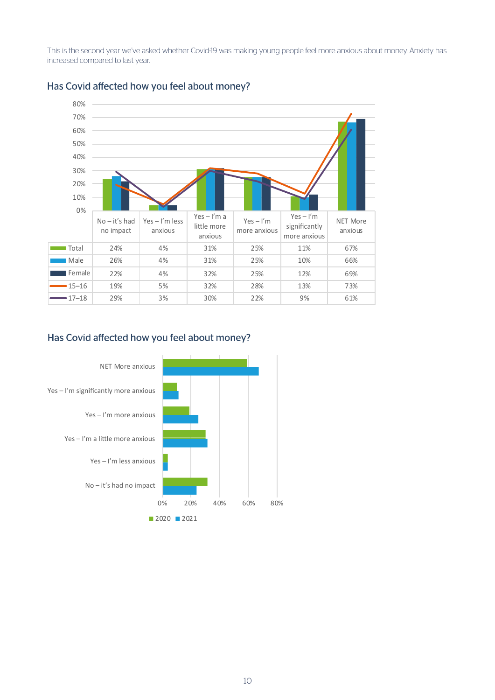This is the second year we've asked whether Covid-19 was making young people feel more anxious about money. Anxiety has increased compared to last year.



# Has Covid affected how you feel about money?

# Has Covid affected how you feel about money?

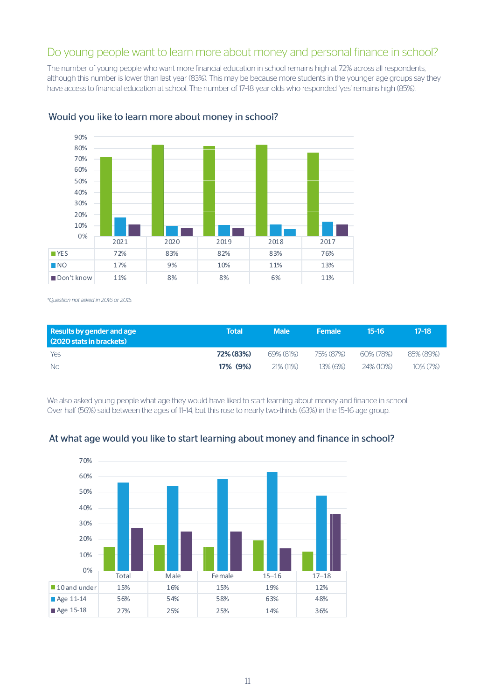# Do young people want to learn more about money and personal finance in school?

The number of young people who want more financial education in school remains high at 72% across all respondents, although this number is lower than last year (83%). This may be because more students in the younger age groups say they have access to financial education at school. The number of 17–18 year olds who responded 'yes' remains high (85%).



# Would you like to learn more about money in school?

*\*Question not asked in 2016 or 2015.*

| Results by gender and age<br>(2020 stats in brackets) | Total     | <b>Male</b>  | <b>Female</b> | 15-16     | $17-18$     |
|-------------------------------------------------------|-----------|--------------|---------------|-----------|-------------|
| Yes                                                   | 72% (83%) | $69\%$ (81%) | 75% (87%)     | 60% (78%) | 85% (89%)   |
| - No                                                  | 17% (9%)  | $71\%$ (11%) | $13\%$ (6%)   | 24% (10%) | $10\%$ (7%) |

We also asked young people what age they would have liked to start learning about money and finance in school. Over half (56%) said between the ages of 11–14, but this rose to nearly two-thirds (63%) in the 15–16 age group.



# At what age would you like to start learning about money and finance in school?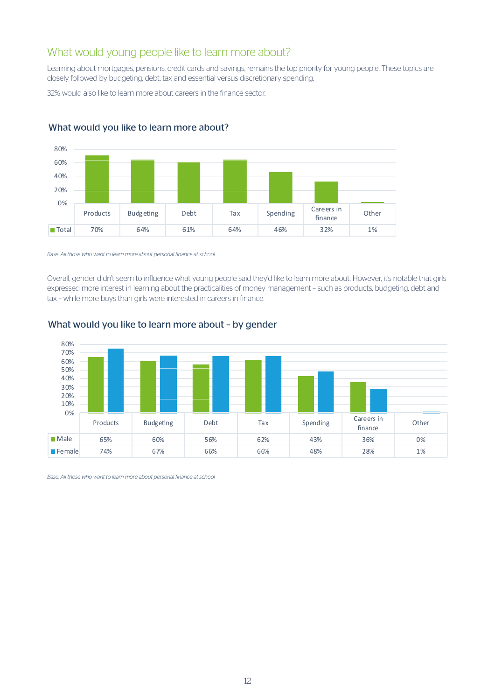# What would young people like to learn more about?

Learning about mortgages, pensions, credit cards and savings, remains the top priority for young people. These topics are closely followed by budgeting, debt, tax and essential versus discretionary spending.

32% would also like to learn more about careers in the finance sector.



# What would you like to learn more about?

*Base: All those who want to learn more about personal finance at school*

Overall, gender didn't seem to influence what young people said they'd like to learn more about. However, it's notable that girls expressed more interest in learning about the practicalities of money management – such as products, budgeting, debt and tax – while more boys than girls were interested in careers in finance.



# What would you like to learn more about – by gender

*Base: All those who want to learn more about personal finance at school*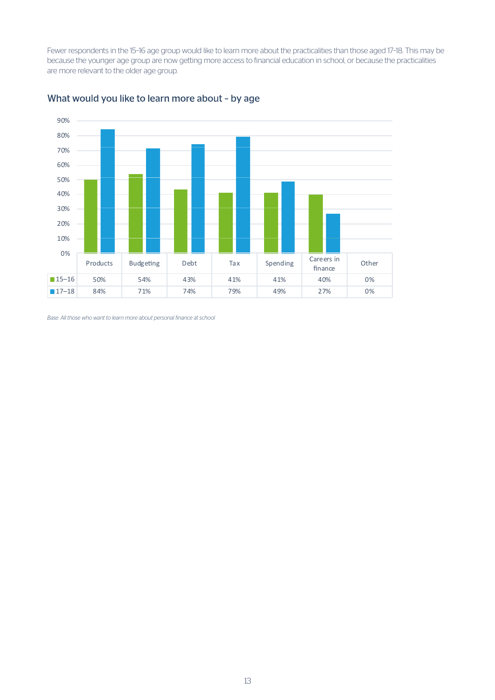Fewer respondents in the 15–16 age group would like to learn more about the practicalities than those aged 17–18. This may be because the younger age group are now getting more access to financial education in school, or because the practicalities are more relevant to the older age group.



# What would you like to learn more about – by age

*Base: All those who want to learn more about personal finance at school*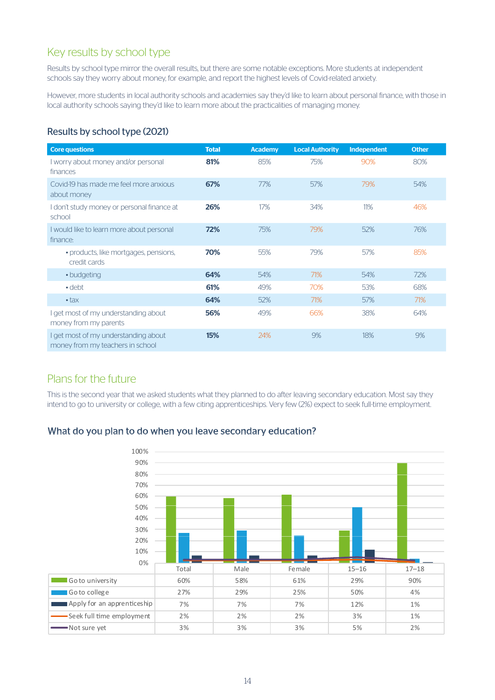# Key results by school type

Results by school type mirror the overall results, but there are some notable exceptions. More students at independent schools say they worry about money, for example, and report the highest levels of Covid-related anxiety.

However, more students in local authority schools and academies say they'd like to learn about personal finance, with those in local authority schools saying they'd like to learn more about the practicalities of managing money.

# Results by school type (2021)

| <b>Core questions</b>                                                    | <b>Total</b> | <b>Academy</b> | <b>Local Authority</b> | Independent | <b>Other</b> |
|--------------------------------------------------------------------------|--------------|----------------|------------------------|-------------|--------------|
| I worry about money and/or personal<br>finances                          | 81%          | 85%            | 75%                    | 90%         | 80%          |
| Covid-19 has made me feel more anxious<br>about money                    | 67%          | 77%            | 57%                    | 79%         | 54%          |
| I don't study money or personal finance at<br>school                     | 26%          | 17%            | 34%                    | 11%         | 46%          |
| I would like to learn more about personal<br>finance:                    | 72%          | 75%            | 79%                    | 52%         | 76%          |
| · products, like mortgages, pensions,<br>credit cards                    | 70%          | 55%            | 79%                    | 57%         | 85%          |
| • budgeting                                                              | 64%          | 54%            | 71%                    | 54%         | 72%          |
| $\cdot$ debt                                                             | 61%          | 49%            | 70%                    | 53%         | 68%          |
| $\cdot$ tax                                                              | 64%          | 52%            | 71%                    | 57%         | 71%          |
| I get most of my understanding about<br>money from my parents            | 56%          | 49%            | 66%                    | 38%         | 64%          |
| I get most of my understanding about<br>money from my teachers in school | <b>15%</b>   | 24%            | 9%                     | 18%         | 9%           |

# Plans for the future

This is the second year that we asked students what they planned to do after leaving secondary education. Most say they intend to go to university or college, with a few citing apprenticeships. Very few (2%) expect to seek full-time employment.

# What do you plan to do when you leave secondary education?

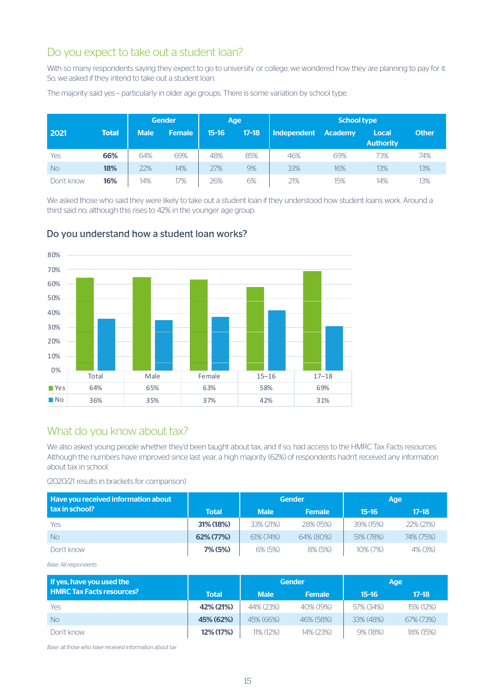# Do you expect to take out a student loan?

With so many respondents saying they expect to go to university or college, we wondered how they are planning to pay for it. So, we asked if they intend to take out a student loan.

|            |              |             | <b>Gender</b><br>Age |           | <b>School type</b> |                    |                |                           |              |
|------------|--------------|-------------|----------------------|-----------|--------------------|--------------------|----------------|---------------------------|--------------|
| 2021       | <b>Total</b> | <b>Male</b> | <b>Female</b>        | $15 - 16$ | $17 - 18$          | <b>Independent</b> | <b>Academy</b> | Local<br><b>Authority</b> | <b>Other</b> |
| Yes        | 66%          | 64%         | 69%                  | 48%       | 85%                | 46%                | 69%            | 73%                       | 74%          |
| <b>No</b>  | 18%          | 22%         | 14%                  | 27%       | 9%                 | 33%                | 16%            | 13%                       | 13%          |
| Don't know | 16%          | 14%         | 17%                  | 26%       | 6%                 | 21%                | 15%            | 14%                       | 13%          |

The majority said yes – particularly in older age groups. There is some variation by school type.

We asked those who said they were likely to take out a student loan if they understood how student loans work. Around a third said no, although this rises to 42% in the younger age group.



# Do you understand how a student loan works?

# What do you know about tax?

We also asked young people whether they'd been taught about tax, and if so, had access to the HMRC Tax Facts resources. Although the numbers have improved since last year, a high majority (62%) of respondents hadn't received any information about tax in school.

#### (2020/21 results in brackets for comparison)

| Have you received information about |              |                 | <b>Gender</b> |              | Age          |
|-------------------------------------|--------------|-----------------|---------------|--------------|--------------|
| l tax in school?                    | <b>Total</b> | <b>Male</b>     | <b>Female</b> | $15 - 16$    | $17 - 18$    |
| <b>Yes</b>                          | 31% (18%)    | 33% (21%)       | 28% (15%)     | 39% (15%)    | $22\%$ (21%) |
| <b>No</b>                           | 62% (77%)    | $61\%$ $(74\%)$ | 64% (80%)     | 51% (78%)    | 74% (75%)    |
| Don't know                          | 7% (5%)      | 6% (5%)         | 8% (5%)       | $10\% (7\%)$ | 4% (3%)      |

*Base: All respondents*

| If yes, have you used the        |              |              | <b>Gender</b> | Age       |              |
|----------------------------------|--------------|--------------|---------------|-----------|--------------|
| <b>HMRC Tax Facts resources?</b> | <b>Total</b> | <b>Male</b>  | <b>Female</b> | $15-16$   | $17 - 18$    |
| <b>Yes</b>                       | 42% (21%)    | 44% (23%)    | 40% (19%)     | 57% (34%) | 15% (12%)    |
| <b>No</b>                        | 45% (62%)    | 45% (66%)    | 46% (58%)     | 33% (48%) | $67\%$ (73%) |
| Don't know                       | 12% (17%)    | $11\%$ (12%) | 14% (23%)     | 9% (18%)  | 18% (15%)    |

*Base: all those who have received information about tax*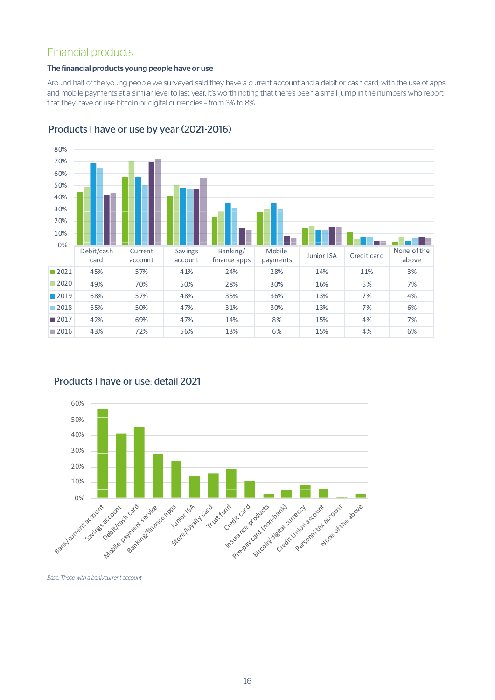# Financial products

# The financial products young people have or use

Around half of the young people we surveyed said they have a current account and a debit or cash card, with the use of apps and mobile payments at a similar level to last year. It's worth noting that there's been a small jump in the numbers who report that they have or use bitcoin or digital currencies – from 3% to 8%.



# Products I have or use by year (2021-2016)



# Products I have or use: detail 2021

*Base: Those with a bank/current account*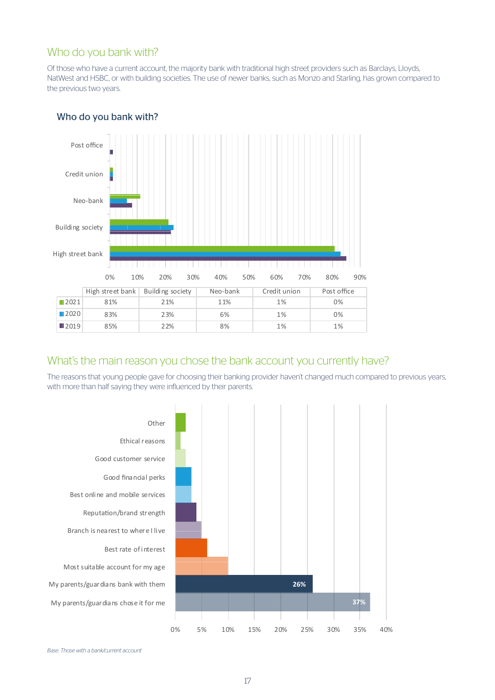# Who do you bank with?

Of those who have a current account, the majority bank with traditional high street providers such as Barclays, Lloyds, NatWest and HSBC, or with building societies. The use of newer banks, such as Monzo and Starling, has grown compared to the previous two years.



# Who do you bank with?

# What's the main reason you chose the bank account you currently have?

2019 85% 22% 8% 1% 1%

The reasons that young people gave for choosing their banking provider haven't changed much compared to previous years, with more than half saying they were influenced by their parents.





**37%**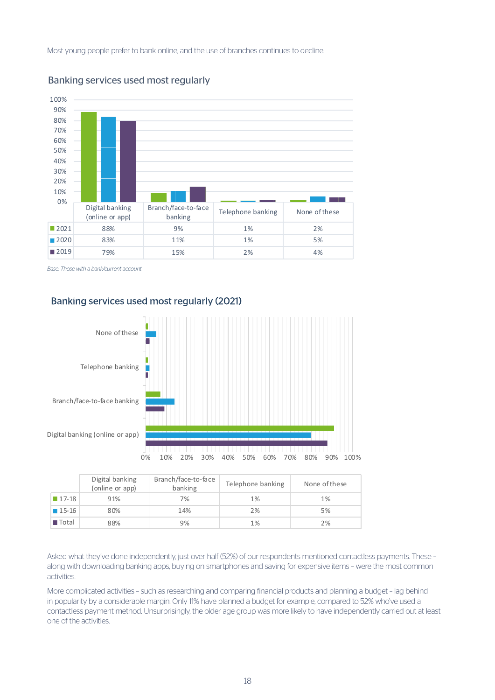Most young people prefer to bank online, and the use of branches continues to decline.



# Banking services used most regularly

*Base: Those with a bank/current account*

# Banking services used most regularly (2021)



|                      | Digital banking<br>(online or app) | Branch/face-to-face<br>banking | Telephone banking | None of these |
|----------------------|------------------------------------|--------------------------------|-------------------|---------------|
| $\blacksquare$ 17-18 | 91%                                | 7%                             | 1%                | 1%            |
| $15-16$              | 80%                                | 14%                            | 2%                | 5%            |
| $\blacksquare$ Total | 88%                                | 9%                             | 1%                | 2%            |

Asked what they've done independently, just over half (52%) of our respondents mentioned contactless payments. These – along with downloading banking apps, buying on smartphones and saving for expensive items – were the most common activities.

More complicated activities – such as researching and comparing financial products and planning a budget – lag behind in popularity by a considerable margin. Only 11% have planned a budget for example, compared to 52% who've used a contactless payment method. Unsurprisingly, the older age group was more likely to have independently carried out at least one of the activities.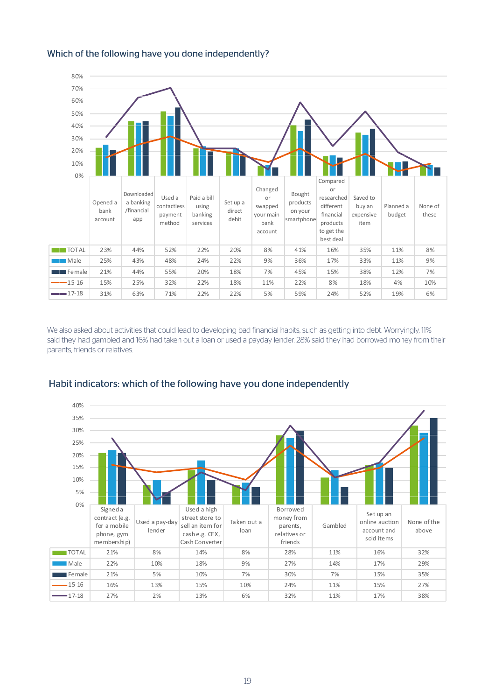

# Which of the following have you done independently?

We also asked about activities that could lead to developing bad financial habits, such as getting into debt. Worryingly, 11% said they had gambled and 16% had taken out a loan or used a payday lender. 28% said they had borrowed money from their parents, friends or relatives.



# Habit indicators: which of the following have you done independently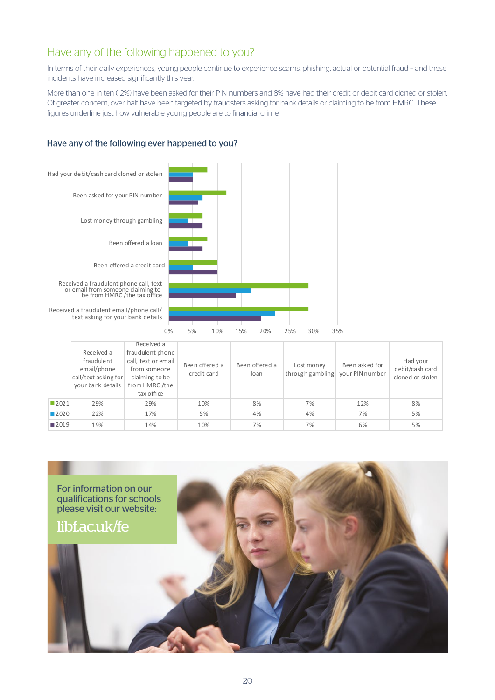# Have any of the following happened to you?

In terms of their daily experiences, young people continue to experience scams, phishing, actual or potential fraud – and these incidents have increased significantly this year.

More than one in ten (12%) have been asked for their PIN numbers and 8% have had their credit or debit card cloned or stolen. Of greater concern, over half have been targeted by fraudsters asking for bank details or claiming to be from HMRC. These figures underline just how vulnerable young people are to financial crime.

# Have any of the following ever happened to you?



|                     | Received a<br>fraudulent<br>email/phone<br>call/text asking for<br>your bank details | neceiveu d<br>fraudulent phone<br>call, text or email<br>from someone<br>claiming to be<br>from HMRC /the<br>tax office | Been offered a<br>credit card | Been offered a<br>loan | Lost money<br>through gambling   your PIN number | Been asked for | Had your<br>debit/cash card<br>cloned or stolen |
|---------------------|--------------------------------------------------------------------------------------|-------------------------------------------------------------------------------------------------------------------------|-------------------------------|------------------------|--------------------------------------------------|----------------|-------------------------------------------------|
| ■2021               | 29%                                                                                  | 29%                                                                                                                     | 10%                           | 8%                     | 7%                                               | 12%            | 8%                                              |
| $\blacksquare$ 2020 | 22%                                                                                  | 17%                                                                                                                     | 5%                            | 4%                     | 4%                                               | 7%             | 5%                                              |
| ■2019               | 19%                                                                                  | 14%                                                                                                                     | 10%                           | 7%                     | 7%                                               | 6%             | 5%                                              |

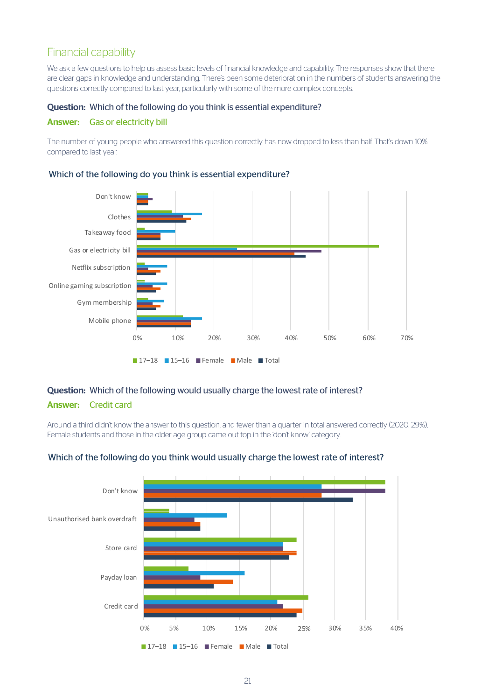# Financial capability

We ask a few questions to help us assess basic levels of financial knowledge and capability. The responses show that there are clear gaps in knowledge and understanding. There's been some deterioration in the numbers of students answering the questions correctly compared to last year, particularly with some of the more complex concepts.

#### Question: Which of the following do you think is essential expenditure?

#### Answer: Gas or electricity bill

The number of young people who answered this question correctly has now dropped to less than half. That's down 10% compared to last year.

#### Which of the following do you think is essential expenditure?



# Question: Which of the following would usually charge the lowest rate of interest?

# Answer: Credit card

Around a third didn't know the answer to this question, and fewer than a quarter in total answered correctly (2020: 29%). Female students and those in the older age group came out top in the 'don't know' category.



#### Which of the following do you think would usually charge the lowest rate of interest?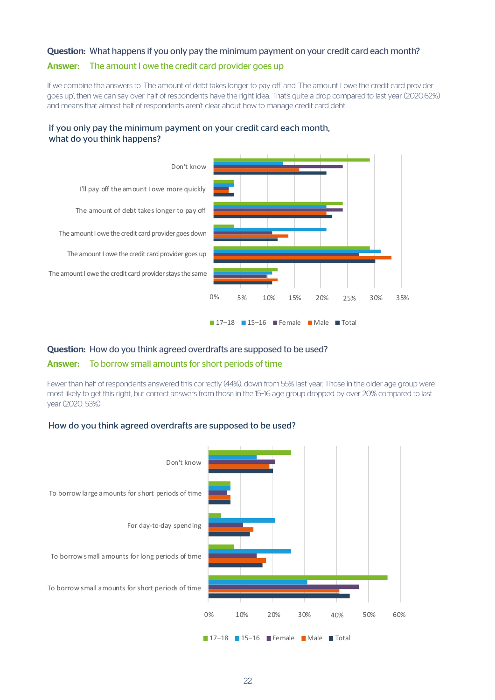#### Question: What happens if you only pay the minimum payment on your credit card each month?

#### Answer: The amount I owe the credit card provider goes up

If we combine the answers to 'The amount of debt takes longer to pay off' and 'The amount I owe the credit card provider goes up', then we can say over half of respondents have the right idea. That's quite a drop compared to last year (2020:62%) and means that almost half of respondents aren't clear about how to manage credit card debt.



# If you only pay the minimum payment on your credit card each month, what do you think happens?

#### Question: How do you think agreed overdrafts are supposed to be used?

#### Answer: To borrow small amounts for short periods of time

Fewer than half of respondents answered this correctly (44%), down from 55% last year. Those in the older age group were most likely to get this right, but correct answers from those in the 15–16 age group dropped by over 20% compared to last year (2020: 53%).

#### How do you think agreed overdrafts are supposed to be used?

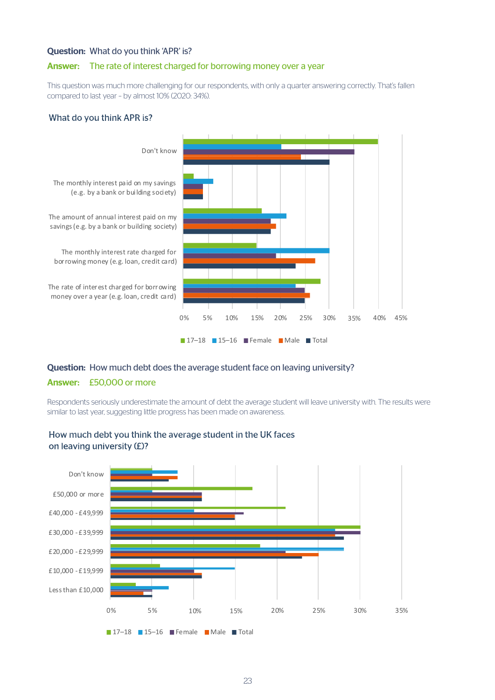#### Question: What do you think 'APR' is?

#### Answer: The rate of interest charged for borrowing money over a year

This question was much more challenging for our respondents, with only a quarter answering correctly. That's fallen compared to last year – by almost 10% (2020: 34%).

#### What do you think APR is?



# Question: How much debt does the average student face on leaving university? Answer: £50,000 or more

Respondents seriously underestimate the amount of debt the average student will leave university with. The results were similar to last year, suggesting little progress has been made on awareness.



# How much debt you think the average student in the UK faces on leaving university (£)?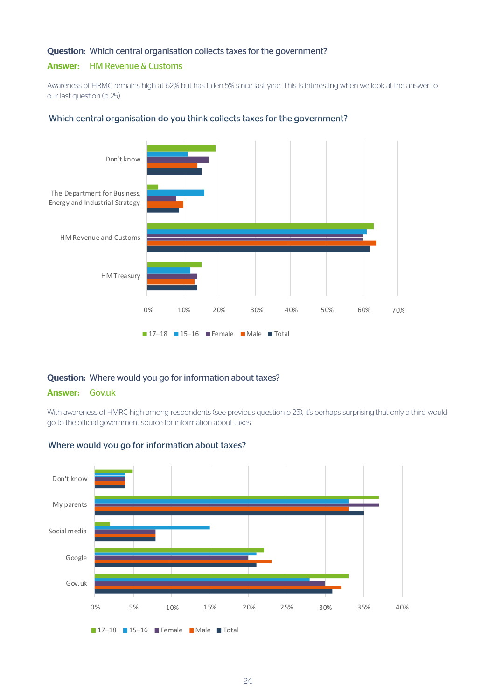#### Question: Which central organisation collects taxes for the government?

#### Answer: HM Revenue & Customs

Awareness of HRMC remains high at 62% but has fallen 5% since last year. This is interesting when we look at the answer to our last question (p 25).



#### Which central organisation do you think collects taxes for the government?

#### Question: Where would you go for information about taxes?

#### Answer: Gov.uk

With awareness of HMRC high among respondents (see previous question p 25), it's perhaps surprising that only a third would go to the official government source for information about taxes.



# Where would you go for information about taxes?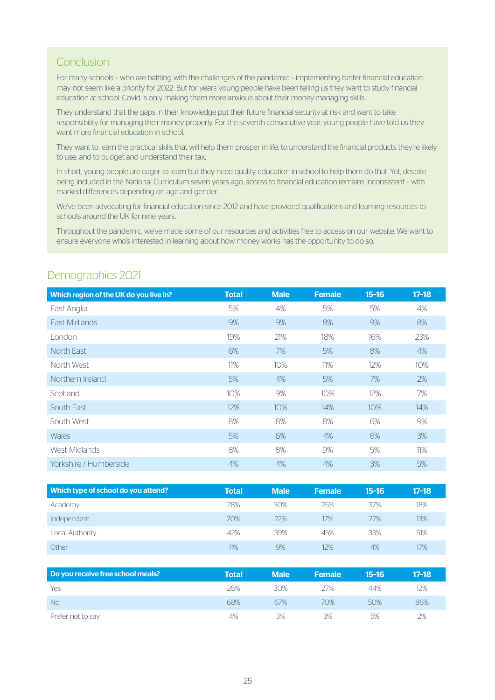# Conclusion

For many schools – who are battling with the challenges of the pandemic – implementing better financial education may not seem like a priority for 2022. But for years young people have been telling us they want to study financial education at school. Covid is only making them more anxious about their money-managing skills.

They understand that the gaps in their knowledge put their future financial security at risk and want to take responsibility for managing their money properly. For the seventh consecutive year, young people have told us they want more financial education in school.

They want to learn the practical skills that will help them prosper in life; to understand the financial products they're likely to use; and to budget and understand their tax.

In short, young people are eager to learn but they need quality education in school to help them do that. Yet, despite being included in the National Curriculum seven years ago, access to financial education remains inconsistent – with marked differences depending on age and gender.

We've been advocating for financial education since 2012 and have provided qualifications and learning resources to schools around the UK for nine years.

Throughout the pandemic, we've made some of our resources and activities free to access on our website. We want to ensure everyone who's interested in learning about how money works has the opportunity to do so.

| Which region of the UK do you live in? | <b>Total</b> | <b>Male</b> | <b>Female</b> | $15 - 16$ | $17 - 18$ |
|----------------------------------------|--------------|-------------|---------------|-----------|-----------|
| East Anglia                            | 5%           | 4%          | 5%            | 5%        | 4%        |
| East Midlands                          | 9%           | 9%          | 8%            | 9%        | 8%        |
| London                                 | 19%          | 21%         | 18%           | 16%       | 23%       |
| North East                             | 6%           | 7%          | 5%            | 8%        | 4%        |
| North West                             | 11%          | 10%         | 11%           | 12%       | 10%       |
| Northern Ireland                       | 5%           | 4%          | 5%            | 7%        | 2%        |
| Scotland                               | 10%          | 9%          | 10%           | 12%       | 7%        |
| South East                             | 12%          | 10%         | 14%           | 10%       | 14%       |
| South West                             | 8%           | 8%          | 8%            | 6%        | 9%        |
| <b>Wales</b>                           | 5%           | 6%          | 4%            | 6%        | 3%        |
| <b>West Midlands</b>                   | 8%           | 8%          | 9%            | 5%        | 11%       |
| Yorkshire / Humberside                 | 4%           | 4%          | 4%            | 3%        | 5%        |

# Demographics 2021

| Which type of school do you attend? | Total | <b>Male</b> | <b>Female</b> | 15-16 | $17 - 18$ |
|-------------------------------------|-------|-------------|---------------|-------|-----------|
| Academy                             | 28%   | 30%         | 25%           | 37%   | 18%       |
| Independent                         | 20%   | 22%         | 17%           | 27%   | 13%       |
| Local Authority                     | 42%   | 39%         | 45%           | 33%   | 51%       |
| Other                               | 11%   | 9%          | 12%           | 4%    | 17%       |

| Do you receive free school meals? | <b>Total</b> | <b>Male</b> | <b>\Female</b> | 15-16 | $17-18$ |
|-----------------------------------|--------------|-------------|----------------|-------|---------|
| Yes                               | 28%          | 30%         | 27%            | 44%   | 12%     |
| <b>No</b>                         | 68%          | 67%         | 70%            | 50%   | 86%     |
| Prefer not to say                 | 4%           | 3%          | 3%             | 5%    | 2%      |